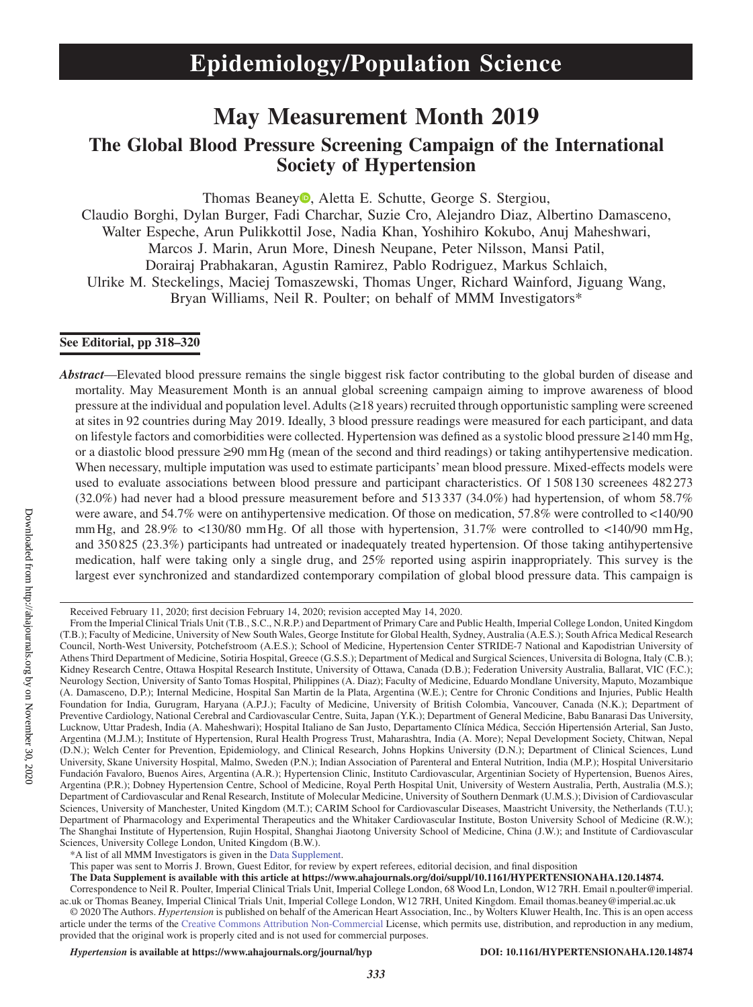# **May Measurement Month 2019**

# **The Global Blood Pressure Screening Campaign of the International Society of Hypertension**

Thomas Beane[y](https://orcid.org/0000-0002-6292-997X)<sup>(D</sup>, Aletta E. Schutte, George S. Stergiou,

Claudio Borghi, Dylan Burger, Fadi Charchar, Suzie Cro, Alejandro Diaz, Albertino Damasceno, Walter Espeche, Arun Pulikkottil Jose, Nadia Khan, Yoshihiro Kokubo, Anuj Maheshwari, Marcos J. Marin, Arun More, Dinesh Neupane, Peter Nilsson, Mansi Patil, Dorairaj Prabhakaran, Agustin Ramirez, Pablo Rodriguez, Markus Schlaich, Ulrike M. Steckelings, Maciej Tomaszewski, Thomas Unger, Richard Wainford, Jiguang Wang, Bryan Williams, Neil R. Poulter; on behalf of MMM Investigators\*

# **See Editorial, pp 318–320**

*Abstract*—Elevated blood pressure remains the single biggest risk factor contributing to the global burden of disease and mortality. May Measurement Month is an annual global screening campaign aiming to improve awareness of blood pressure at the individual and population level. Adults (≥18 years) recruited through opportunistic sampling were screened at sites in 92 countries during May 2019. Ideally, 3 blood pressure readings were measured for each participant, and data on lifestyle factors and comorbidities were collected. Hypertension was defined as a systolic blood pressure ≥140 mmHg, or a diastolic blood pressure ≥90 mmHg (mean of the second and third readings) or taking antihypertensive medication. When necessary, multiple imputation was used to estimate participants' mean blood pressure. Mixed-effects models were used to evaluate associations between blood pressure and participant characteristics. Of 1 508 130 screenees 482 273 (32.0%) had never had a blood pressure measurement before and 513 337 (34.0%) had hypertension, of whom 58.7% were aware, and 54.7% were on antihypertensive medication. Of those on medication, 57.8% were controlled to <140/90 mmHg, and 28.9% to <130/80 mmHg. Of all those with hypertension, 31.7% were controlled to <140/90 mmHg, and 350 825 (23.3%) participants had untreated or inadequately treated hypertension. Of those taking antihypertensive medication, half were taking only a single drug, and 25% reported using aspirin inappropriately. This survey is the largest ever synchronized and standardized contemporary compilation of global blood pressure data. This campaign is

This paper was sent to Morris J. Brown, Guest Editor, for review by expert referees, editorial decision, and final disposition

**The Data Supplement is available with this article at https://www.ahajournals.org/doi/suppl/10.1161/HYPERTENSIONAHA.120.14874.**

Correspondence to Neil R. Poulter, Imperial Clinical Trials Unit, Imperial College London, 68 Wood Ln, London, W12 7RH. Email [n.poulter@imperial.](mailto:n.poulter@imperial.ac.uk) [ac.uk](mailto:n.poulter@imperial.ac.uk) or Thomas Beaney, Imperial Clinical Trials Unit, Imperial College London, W12 7RH, United Kingdom. Email [thomas.beaney@imperial.ac.uk](mailto:thomas.beaney@imperial.ac.uk) © 2020 The Authors. *Hypertension* is published on behalf of the American Heart Association, Inc., by Wolters Kluwer Health, Inc. This is an open access

article under the terms of the Creative Commons Attribution Non-Commercial License, which permits use, distribution, and reproduction in any medium, provided that the original work is properly cited and is not used for commercial purposes.

*Hypertension* **is available at https://www.ahajournals.org/journal/hyp DOI: 10.1161/HYPERTENSIONAHA.120.14874**

Received February 11, 2020; first decision February 14, 2020; revision accepted May 14, 2020.

From the Imperial Clinical Trials Unit (T.B., S.C., N.R.P.) and Department of Primary Care and Public Health, Imperial College London, United Kingdom (T.B.); Faculty of Medicine, University of New South Wales, George Institute for Global Health, Sydney, Australia (A.E.S.); South Africa Medical Research Council, North-West University, Potchefstroom (A.E.S.); School of Medicine, Hypertension Center STRIDE-7 National and Kapodistrian University of Athens Third Department of Medicine, Sotiria Hospital, Greece (G.S.S.); Department of Medical and Surgical Sciences, Universita di Bologna, Italy (C.B.); Kidney Research Centre, Ottawa Hospital Research Institute, University of Ottawa, Canada (D.B.); Federation University Australia, Ballarat, VIC (F.C.); Neurology Section, University of Santo Tomas Hospital, Philippines (A. Diaz); Faculty of Medicine, Eduardo Mondlane University, Maputo, Mozambique (A. Damasceno, D.P.); Internal Medicine, Hospital San Martin de la Plata, Argentina (W.E.); Centre for Chronic Conditions and Injuries, Public Health Foundation for India, Gurugram, Haryana (A.P.J.); Faculty of Medicine, University of British Colombia, Vancouver, Canada (N.K.); Department of Preventive Cardiology, National Cerebral and Cardiovascular Centre, Suita, Japan (Y.K.); Department of General Medicine, Babu Banarasi Das University, Lucknow, Uttar Pradesh, India (A. Maheshwari); Hospital Italiano de San Justo, Departamento Clínica Médica, Sección Hipertensión Arterial, San Justo, Argentina (M.J.M.); Institute of Hypertension, Rural Health Progress Trust, Maharashtra, India (A. More); Nepal Development Society, Chitwan, Nepal (D.N.); Welch Center for Prevention, Epidemiology, and Clinical Research, Johns Hopkins University (D.N.); Department of Clinical Sciences, Lund University, Skane University Hospital, Malmo, Sweden (P.N.); Indian Association of Parenteral and Enteral Nutrition, India (M.P.); Hospital Universitario Fundación Favaloro, Buenos Aires, Argentina (A.R.); Hypertension Clinic, Instituto Cardiovascular, Argentinian Society of Hypertension, Buenos Aires, Argentina (P.R.); Dobney Hypertension Centre, School of Medicine, Royal Perth Hospital Unit, University of Western Australia, Perth, Australia (M.S.); Department of Cardiovascular and Renal Research, Institute of Molecular Medicine, University of Southern Denmark (U.M.S.); Division of Cardiovascular Sciences, University of Manchester, United Kingdom (M.T.); CARIM School for Cardiovascular Diseases, Maastricht University, the Netherlands (T.U.); Department of Pharmacology and Experimental Therapeutics and the Whitaker Cardiovascular Institute, Boston University School of Medicine (R.W.); The Shanghai Institute of Hypertension, Rujin Hospital, Shanghai Jiaotong University School of Medicine, China (J.W.); and Institute of Cardiovascular Sciences, University College London, United Kingdom (B.W.).

<sup>\*</sup>A list of all MMM Investigators is given in the Data Supplement.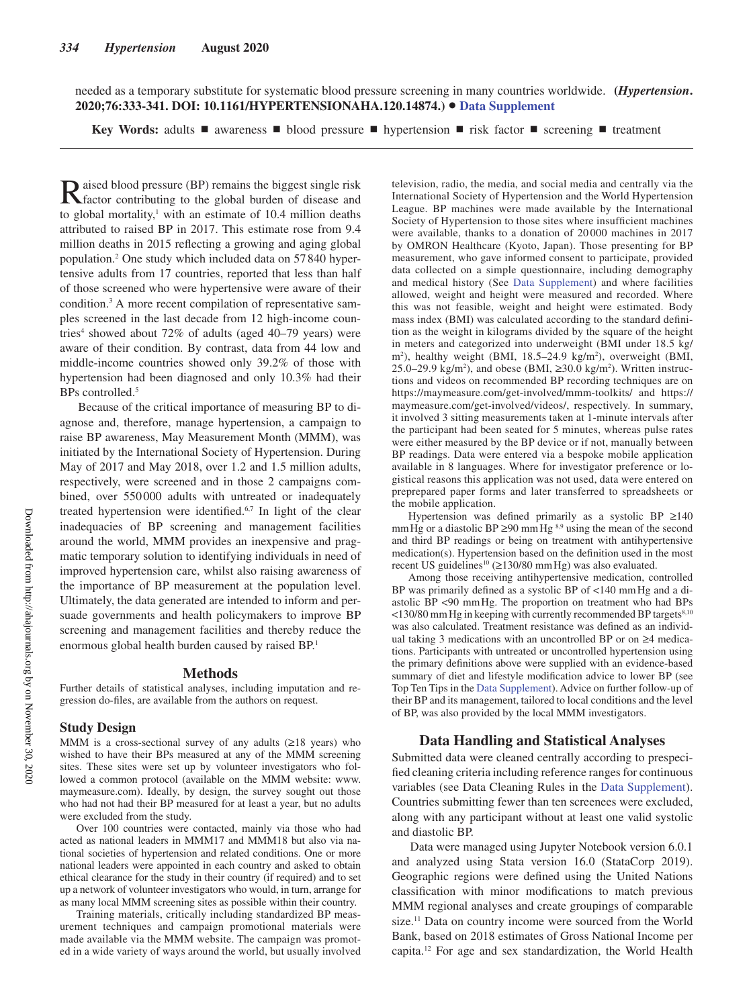needed as a temporary substitute for systematic blood pressure screening in many countries worldwide. **(***Hypertension***. 2020;76:333-341. DOI: 10.1161/HYPERTENSIONAHA.120.14874.)**• **Data Supplement**

**Key Words:** adults ■ awareness ■ blood pressure ■ hypertension ■ risk factor ■ screening ■ treatment

Raised blood pressure (BP) remains the biggest single risk factor contributing to the global burden of disease and to global mortality, $\frac{1}{1}$  with an estimate of 10.4 million deaths attributed to raised BP in 2017. This estimate rose from 9.4 million deaths in 2015 reflecting a growing and aging global population.2 One study which included data on 57 840 hypertensive adults from 17 countries, reported that less than half of those screened who were hypertensive were aware of their condition.<sup>3</sup> A more recent compilation of representative samples screened in the last decade from 12 high-income countries<sup>4</sup> showed about 72% of adults (aged 40–79 years) were aware of their condition. By contrast, data from 44 low and middle-income countries showed only 39.2% of those with hypertension had been diagnosed and only 10.3% had their BPs controlled.<sup>5</sup>

Because of the critical importance of measuring BP to diagnose and, therefore, manage hypertension, a campaign to raise BP awareness, May Measurement Month (MMM), was initiated by the International Society of Hypertension. During May of 2017 and May 2018, over 1.2 and 1.5 million adults, respectively, were screened and in those 2 campaigns combined, over 550 000 adults with untreated or inadequately treated hypertension were identified.<sup>6,7</sup> In light of the clear inadequacies of BP screening and management facilities around the world, MMM provides an inexpensive and pragmatic temporary solution to identifying individuals in need of improved hypertension care, whilst also raising awareness of the importance of BP measurement at the population level. Ultimately, the data generated are intended to inform and persuade governments and health policymakers to improve BP screening and management facilities and thereby reduce the enormous global health burden caused by raised BP.<sup>1</sup>

#### **Methods**

Further details of statistical analyses, including imputation and regression do-files, are available from the authors on request.

## **Study Design**

MMM is a cross-sectional survey of any adults  $(\geq 18$  years) who wished to have their BPs measured at any of the MMM screening sites. These sites were set up by volunteer investigators who followed a common protocol (available on the MMM website: www. maymeasure.com). Ideally, by design, the survey sought out those who had not had their BP measured for at least a year, but no adults were excluded from the study.

Over 100 countries were contacted, mainly via those who had acted as national leaders in MMM17 and MMM18 but also via national societies of hypertension and related conditions. One or more national leaders were appointed in each country and asked to obtain ethical clearance for the study in their country (if required) and to set up a network of volunteer investigators who would, in turn, arrange for as many local MMM screening sites as possible within their country.

Training materials, critically including standardized BP measurement techniques and campaign promotional materials were made available via the MMM website. The campaign was promoted in a wide variety of ways around the world, but usually involved television, radio, the media, and social media and centrally via the International Society of Hypertension and the World Hypertension League. BP machines were made available by the International Society of Hypertension to those sites where insufficient machines were available, thanks to a donation of 20 000 machines in 2017 by OMRON Healthcare (Kyoto, Japan). Those presenting for BP measurement, who gave informed consent to participate, provided data collected on a simple questionnaire, including demography and medical history (See Data Supplement) and where facilities allowed, weight and height were measured and recorded. Where this was not feasible, weight and height were estimated. Body mass index (BMI) was calculated according to the standard definition as the weight in kilograms divided by the square of the height in meters and categorized into underweight (BMI under 18.5 kg/ m<sup>2</sup>), healthy weight (BMI, 18.5–24.9 kg/m<sup>2</sup>), overweight (BMI, 25.0–29.9 kg/m<sup>2</sup>), and obese (BMI,  $\geq$ 30.0 kg/m<sup>2</sup>). Written instructions and videos on recommended BP recording techniques are on https://maymeasure.com/get-involved/mmm-toolkits/ and https:// maymeasure.com/get-involved/videos/, respectively. In summary, it involved 3 sitting measurements taken at 1-minute intervals after the participant had been seated for 5 minutes, whereas pulse rates were either measured by the BP device or if not, manually between BP readings. Data were entered via a bespoke mobile application available in 8 languages. Where for investigator preference or logistical reasons this application was not used, data were entered on preprepared paper forms and later transferred to spreadsheets or the mobile application.

Hypertension was defined primarily as a systolic BP ≥140 mm Hg or a diastolic BP  $\geq$ 90 mm Hg <sup>8,9</sup> using the mean of the second and third BP readings or being on treatment with antihypertensive medication(s). Hypertension based on the definition used in the most recent US guidelines<sup>10</sup> ( $\geq$ 130/80 mm Hg) was also evaluated.

Among those receiving antihypertensive medication, controlled BP was primarily defined as a systolic BP of <140 mmHg and a diastolic BP <90 mmHg. The proportion on treatment who had BPs  $\langle$ 130/80 mm Hg in keeping with currently recommended BP targets<sup>8,10</sup> was also calculated. Treatment resistance was defined as an individual taking 3 medications with an uncontrolled BP or on ≥4 medications. Participants with untreated or uncontrolled hypertension using the primary definitions above were supplied with an evidence-based summary of diet and lifestyle modification advice to lower BP (see Top Ten Tips in the Data Supplement). Advice on further follow-up of their BP and its management, tailored to local conditions and the level of BP, was also provided by the local MMM investigators.

### **Data Handling and Statistical Analyses**

Submitted data were cleaned centrally according to prespecified cleaning criteria including reference ranges for continuous variables (see Data Cleaning Rules in the Data Supplement). Countries submitting fewer than ten screenees were excluded, along with any participant without at least one valid systolic and diastolic BP.

Data were managed using Jupyter Notebook version 6.0.1 and analyzed using Stata version 16.0 (StataCorp 2019). Geographic regions were defined using the United Nations classification with minor modifications to match previous MMM regional analyses and create groupings of comparable size.<sup>11</sup> Data on country income were sourced from the World Bank, based on 2018 estimates of Gross National Income per capita.12 For age and sex standardization, the World Health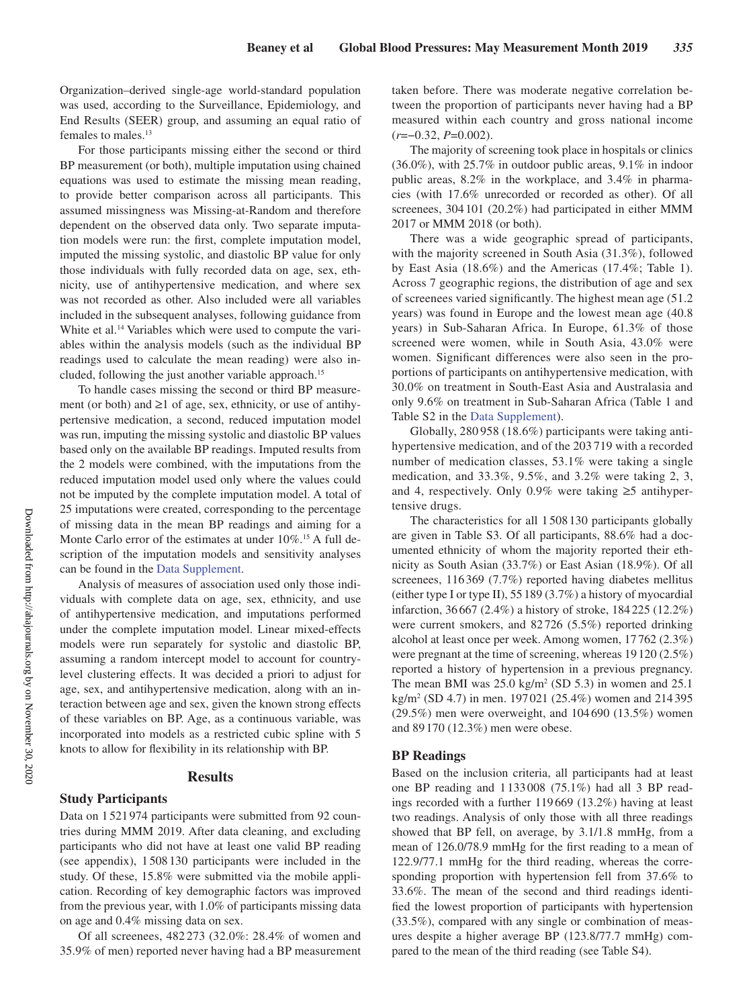Organization–derived single-age world-standard population was used, according to the Surveillance, Epidemiology, and End Results (SEER) group, and assuming an equal ratio of females to males.13

For those participants missing either the second or third BP measurement (or both), multiple imputation using chained equations was used to estimate the missing mean reading, to provide better comparison across all participants. This assumed missingness was Missing-at-Random and therefore dependent on the observed data only. Two separate imputation models were run: the first, complete imputation model, imputed the missing systolic, and diastolic BP value for only those individuals with fully recorded data on age, sex, ethnicity, use of antihypertensive medication, and where sex was not recorded as other. Also included were all variables included in the subsequent analyses, following guidance from White et al.<sup>14</sup> Variables which were used to compute the variables within the analysis models (such as the individual BP readings used to calculate the mean reading) were also included, following the just another variable approach.<sup>15</sup>

To handle cases missing the second or third BP measurement (or both) and ≥1 of age, sex, ethnicity, or use of antihypertensive medication, a second, reduced imputation model was run, imputing the missing systolic and diastolic BP values based only on the available BP readings. Imputed results from the 2 models were combined, with the imputations from the reduced imputation model used only where the values could not be imputed by the complete imputation model. A total of 25 imputations were created, corresponding to the percentage of missing data in the mean BP readings and aiming for a Monte Carlo error of the estimates at under 10%.<sup>15</sup> A full description of the imputation models and sensitivity analyses can be found in the Data Supplement.

Analysis of measures of association used only those individuals with complete data on age, sex, ethnicity, and use of antihypertensive medication, and imputations performed under the complete imputation model. Linear mixed-effects models were run separately for systolic and diastolic BP, assuming a random intercept model to account for countrylevel clustering effects. It was decided a priori to adjust for age, sex, and antihypertensive medication, along with an interaction between age and sex, given the known strong effects of these variables on BP. Age, as a continuous variable, was incorporated into models as a restricted cubic spline with 5 knots to allow for flexibility in its relationship with BP.

## **Results**

## **Study Participants**

Data on 1 521974 participants were submitted from 92 countries during MMM 2019. After data cleaning, and excluding participants who did not have at least one valid BP reading (see appendix), 1 508 130 participants were included in the study. Of these, 15.8% were submitted via the mobile application. Recording of key demographic factors was improved from the previous year, with 1.0% of participants missing data on age and 0.4% missing data on sex.

Of all screenees, 482 273 (32.0%: 28.4% of women and 35.9% of men) reported never having had a BP measurement taken before. There was moderate negative correlation between the proportion of participants never having had a BP measured within each country and gross national income (*r*=−0.32, *P*=0.002).

The majority of screening took place in hospitals or clinics (36.0%), with 25.7% in outdoor public areas, 9.1% in indoor public areas, 8.2% in the workplace, and 3.4% in pharmacies (with 17.6% unrecorded or recorded as other). Of all screenees, 304 101 (20.2%) had participated in either MMM 2017 or MMM 2018 (or both).

There was a wide geographic spread of participants, with the majority screened in South Asia (31.3%), followed by East Asia (18.6%) and the Americas (17.4%; Table 1). Across 7 geographic regions, the distribution of age and sex of screenees varied significantly. The highest mean age (51.2 years) was found in Europe and the lowest mean age (40.8 years) in Sub-Saharan Africa. In Europe, 61.3% of those screened were women, while in South Asia, 43.0% were women. Significant differences were also seen in the proportions of participants on antihypertensive medication, with 30.0% on treatment in South-East Asia and Australasia and only 9.6% on treatment in Sub-Saharan Africa (Table 1 and Table S2 in the Data Supplement).

Globally, 280 958 (18.6%) participants were taking antihypertensive medication, and of the 203 719 with a recorded number of medication classes, 53.1% were taking a single medication, and 33.3%, 9.5%, and 3.2% were taking 2, 3, and 4, respectively. Only 0.9% were taking  $\geq$ 5 antihypertensive drugs.

The characteristics for all 1508 130 participants globally are given in Table S3. Of all participants, 88.6% had a documented ethnicity of whom the majority reported their ethnicity as South Asian (33.7%) or East Asian (18.9%). Of all screenees, 116369 (7.7%) reported having diabetes mellitus (either type I or type II), 55 189 (3.7%) a history of myocardial infarction, 36 667 (2.4%) a history of stroke, 184225 (12.2%) were current smokers, and 82726 (5.5%) reported drinking alcohol at least once per week. Among women, 17762 (2.3%) were pregnant at the time of screening, whereas 19 120 (2.5%) reported a history of hypertension in a previous pregnancy. The mean BMI was  $25.0 \text{ kg/m}^2$  (SD 5.3) in women and  $25.1$ kg/m2 (SD 4.7) in men. 197 021 (25.4%) women and 214395 (29.5%) men were overweight, and 104690 (13.5%) women and 89170 (12.3%) men were obese.

## **BP Readings**

Based on the inclusion criteria, all participants had at least one BP reading and 1 133008 (75.1%) had all 3 BP readings recorded with a further 119 669 (13.2%) having at least two readings. Analysis of only those with all three readings showed that BP fell, on average, by 3.1/1.8 mmHg, from a mean of 126.0/78.9 mmHg for the first reading to a mean of 122.9/77.1 mmHg for the third reading, whereas the corresponding proportion with hypertension fell from 37.6% to 33.6%. The mean of the second and third readings identified the lowest proportion of participants with hypertension (33.5%), compared with any single or combination of measures despite a higher average BP (123.8/77.7 mmHg) compared to the mean of the third reading (see Table S4).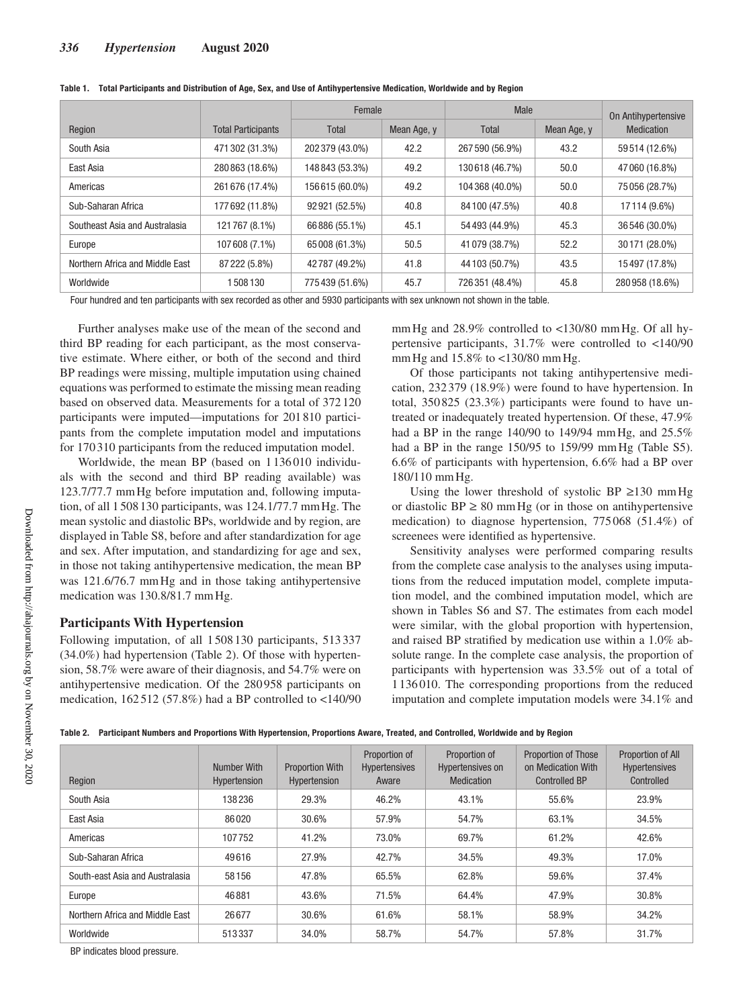|                                 |                           | Female          |             | Male            |             | On Antihypertensive |
|---------------------------------|---------------------------|-----------------|-------------|-----------------|-------------|---------------------|
| Region                          | <b>Total Participants</b> | Total           | Mean Age, y | Total           | Mean Age, y | Medication          |
| South Asia                      | 471 302 (31.3%)           | 202 379 (43.0%) | 42.2        | 267 590 (56.9%) | 43.2        | 59514 (12.6%)       |
| East Asia                       | 280863 (18.6%)            | 148 843 (53.3%) | 49.2        | 130618 (46.7%)  | 50.0        | 47060 (16.8%)       |
| Americas                        | 261 676 (17.4%)           | 156615 (60.0%)  | 49.2        | 104 368 (40.0%) | 50.0        | 75056 (28.7%)       |
| Sub-Saharan Africa              | 177692 (11.8%)            | 92921 (52.5%)   | 40.8        | 84 100 (47.5%)  | 40.8        | 17114 (9.6%)        |
| Southeast Asia and Australasia  | 121767 (8.1%)             | 66886 (55.1%)   | 45.1        | 54 493 (44.9%)  | 45.3        | 36 546 (30.0%)      |
| Europe                          | 107 608 (7.1%)            | 65008 (61.3%)   | 50.5        | 41 079 (38.7%)  | 52.2        | 30171 (28.0%)       |
| Northern Africa and Middle East | 87 222 (5.8%)             | 42787 (49.2%)   | 41.8        | 44 103 (50.7%)  | 43.5        | 15497 (17.8%)       |
| Worldwide                       | 508130                    | 775439 (51.6%)  | 45.7        | 726 351 (48.4%) | 45.8        | 280958 (18.6%)      |

|  |  |  | Table 1. Total Participants and Distribution of Age, Sex, and Use of Antihypertensive Medication, Worldwide and by Region |  |  |
|--|--|--|---------------------------------------------------------------------------------------------------------------------------|--|--|
|--|--|--|---------------------------------------------------------------------------------------------------------------------------|--|--|

Four hundred and ten participants with sex recorded as other and 5930 participants with sex unknown not shown in the table.

Further analyses make use of the mean of the second and third BP reading for each participant, as the most conservative estimate. Where either, or both of the second and third BP readings were missing, multiple imputation using chained equations was performed to estimate the missing mean reading based on observed data. Measurements for a total of 372 120 participants were imputed—imputations for 201810 participants from the complete imputation model and imputations for 170310 participants from the reduced imputation model.

Worldwide, the mean BP (based on 1 136 010 individuals with the second and third BP reading available) was 123.7/77.7 mmHg before imputation and, following imputation, of all 1508130 participants, was 124.1/77.7 mmHg. The mean systolic and diastolic BPs, worldwide and by region, are displayed in Table S8, before and after standardization for age and sex. After imputation, and standardizing for age and sex, in those not taking antihypertensive medication, the mean BP was 121.6/76.7 mmHg and in those taking antihypertensive medication was 130.8/81.7 mm Hg.

### **Participants With Hypertension**

Following imputation, of all 1508130 participants, 513 337 (34.0%) had hypertension (Table 2). Of those with hypertension, 58.7% were aware of their diagnosis, and 54.7% were on antihypertensive medication. Of the 280 958 participants on medication,  $162512$  (57.8%) had a BP controlled to <140/90 mmHg and 28.9% controlled to <130/80 mmHg. Of all hypertensive participants, 31.7% were controlled to <140/90 mmHg and 15.8% to <130/80 mmHg.

Of those participants not taking antihypertensive medication, 232 379 (18.9%) were found to have hypertension. In total, 350825 (23.3%) participants were found to have untreated or inadequately treated hypertension. Of these, 47.9% had a BP in the range 140/90 to 149/94 mmHg, and 25.5% had a BP in the range 150/95 to 159/99 mm Hg (Table S5). 6.6% of participants with hypertension, 6.6% had a BP over 180/110 mmHg.

Using the lower threshold of systolic BP  $\geq$ 130 mm Hg or diastolic  $BP \geq 80$  mm Hg (or in those on antihypertensive medication) to diagnose hypertension, 775 068 (51.4%) of screenees were identified as hypertensive.

Sensitivity analyses were performed comparing results from the complete case analysis to the analyses using imputations from the reduced imputation model, complete imputation model, and the combined imputation model, which are shown in Tables S6 and S7. The estimates from each model were similar, with the global proportion with hypertension, and raised BP stratified by medication use within a 1.0% absolute range. In the complete case analysis, the proportion of participants with hypertension was 33.5% out of a total of 1136010. The corresponding proportions from the reduced imputation and complete imputation models were 34.1% and

| Table 2. Participant Numbers and Proportions With Hypertension, Proportions Aware, Treated, and Controlled, Worldwide and by Region |  |  |  |  |  |  |  |
|-------------------------------------------------------------------------------------------------------------------------------------|--|--|--|--|--|--|--|
|-------------------------------------------------------------------------------------------------------------------------------------|--|--|--|--|--|--|--|

| Region                          | Number With<br>Hypertension | <b>Proportion With</b><br>Hypertension | Proportion of<br><b>Hypertensives</b><br>Aware | Proportion of<br>Hypertensives on<br>Medication | Proportion of Those<br>on Medication With<br><b>Controlled BP</b> | Proportion of All<br><b>Hypertensives</b><br>Controlled |
|---------------------------------|-----------------------------|----------------------------------------|------------------------------------------------|-------------------------------------------------|-------------------------------------------------------------------|---------------------------------------------------------|
| South Asia                      | 138236                      | 29.3%                                  | 46.2%                                          | 43.1%                                           | 55.6%                                                             | 23.9%                                                   |
| East Asia                       | 86020                       | 30.6%                                  | 57.9%                                          | 54.7%                                           | 63.1%                                                             | 34.5%                                                   |
| Americas                        | 107752                      | 41.2%                                  | 73.0%                                          | 69.7%                                           | 61.2%                                                             | 42.6%                                                   |
| Sub-Saharan Africa              | 49616                       | 27.9%                                  | 42.7%                                          | 34.5%                                           | 49.3%                                                             | 17.0%                                                   |
| South-east Asia and Australasia | 58156                       | 47.8%                                  | 65.5%                                          | 62.8%                                           | 59.6%                                                             | 37.4%                                                   |
| Europe                          | 46881                       | 43.6%                                  | 71.5%                                          | 64.4%                                           | 47.9%                                                             | 30.8%                                                   |
| Northern Africa and Middle East | 26677                       | 30.6%                                  | 61.6%                                          | 58.1%                                           | 58.9%                                                             | 34.2%                                                   |
| Worldwide                       | 513337                      | 34.0%                                  | 58.7%                                          | 54.7%                                           | 57.8%                                                             | 31.7%                                                   |

BP indicates blood pressure.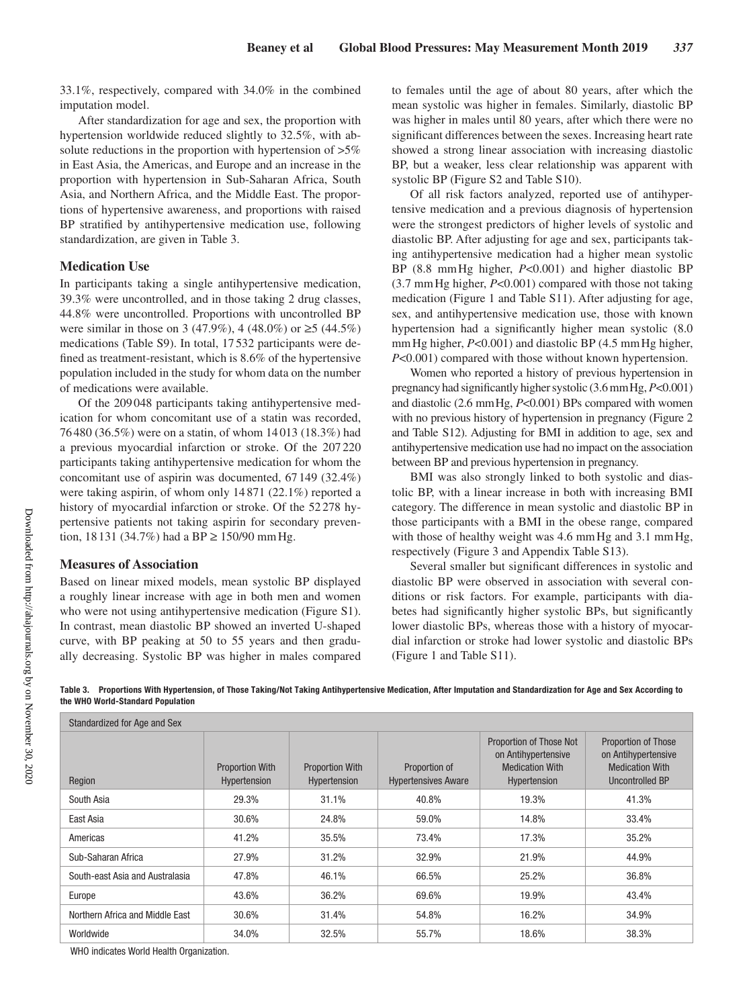33.1%, respectively, compared with 34.0% in the combined imputation model.

After standardization for age and sex, the proportion with hypertension worldwide reduced slightly to 32.5%, with absolute reductions in the proportion with hypertension of  $>5\%$ in East Asia, the Americas, and Europe and an increase in the proportion with hypertension in Sub-Saharan Africa, South Asia, and Northern Africa, and the Middle East. The proportions of hypertensive awareness, and proportions with raised BP stratified by antihypertensive medication use, following standardization, are given in Table 3.

## **Medication Use**

In participants taking a single antihypertensive medication, 39.3% were uncontrolled, and in those taking 2 drug classes, 44.8% were uncontrolled. Proportions with uncontrolled BP were similar in those on 3 (47.9%), 4 (48.0%) or  $\geq$ 5 (44.5%) medications (Table S9). In total, 17 532 participants were defined as treatment-resistant, which is 8.6% of the hypertensive population included in the study for whom data on the number of medications were available.

Of the 209 048 participants taking antihypertensive medication for whom concomitant use of a statin was recorded, 76480 (36.5%) were on a statin, of whom 14 013 (18.3%) had a previous myocardial infarction or stroke. Of the 207 220 participants taking antihypertensive medication for whom the concomitant use of aspirin was documented, 67 149 (32.4%) were taking aspirin, of whom only 14871 (22.1%) reported a history of myocardial infarction or stroke. Of the 52278 hypertensive patients not taking aspirin for secondary prevention, 18 131 (34.7%) had a BP  $\geq$  150/90 mm Hg.

## **Measures of Association**

Based on linear mixed models, mean systolic BP displayed a roughly linear increase with age in both men and women who were not using antihypertensive medication (Figure S1). In contrast, mean diastolic BP showed an inverted U-shaped curve, with BP peaking at 50 to 55 years and then gradually decreasing. Systolic BP was higher in males compared to females until the age of about 80 years, after which the mean systolic was higher in females. Similarly, diastolic BP was higher in males until 80 years, after which there were no significant differences between the sexes. Increasing heart rate showed a strong linear association with increasing diastolic BP, but a weaker, less clear relationship was apparent with systolic BP (Figure S2 and Table S10).

Of all risk factors analyzed, reported use of antihypertensive medication and a previous diagnosis of hypertension were the strongest predictors of higher levels of systolic and diastolic BP. After adjusting for age and sex, participants taking antihypertensive medication had a higher mean systolic BP (8.8 mmHg higher, *P*<0.001) and higher diastolic BP (3.7 mmHg higher, *P*<0.001) compared with those not taking medication (Figure 1 and Table S11). After adjusting for age, sex, and antihypertensive medication use, those with known hypertension had a significantly higher mean systolic (8.0 mm Hg higher, *P*<0.001) and diastolic BP (4.5 mm Hg higher, *P*<0.001) compared with those without known hypertension.

Women who reported a history of previous hypertension in pregnancy had significantly higher systolic (3.6 mmHg, *P*<0.001) and diastolic (2.6 mmHg, *P*<0.001) BPs compared with women with no previous history of hypertension in pregnancy (Figure 2 and Table S12). Adjusting for BMI in addition to age, sex and antihypertensive medication use had no impact on the association between BP and previous hypertension in pregnancy.

BMI was also strongly linked to both systolic and diastolic BP, with a linear increase in both with increasing BMI category. The difference in mean systolic and diastolic BP in those participants with a BMI in the obese range, compared with those of healthy weight was 4.6 mm Hg and 3.1 mm Hg, respectively (Figure 3 and Appendix Table S13).

Several smaller but significant differences in systolic and diastolic BP were observed in association with several conditions or risk factors. For example, participants with diabetes had significantly higher systolic BPs, but significantly lower diastolic BPs, whereas those with a history of myocardial infarction or stroke had lower systolic and diastolic BPs (Figure 1 and Table S11).

**Table 3. Proportions With Hypertension, of Those Taking/Not Taking Antihypertensive Medication, After Imputation and Standardization for Age and Sex According to the WHO World-Standard Population**

| Standardized for Age and Sex    |                                        |                                        |                                             |                                                                                          |                                                                                         |  |  |
|---------------------------------|----------------------------------------|----------------------------------------|---------------------------------------------|------------------------------------------------------------------------------------------|-----------------------------------------------------------------------------------------|--|--|
| Region                          | <b>Proportion With</b><br>Hypertension | <b>Proportion With</b><br>Hypertension | Proportion of<br><b>Hypertensives Aware</b> | Proportion of Those Not<br>on Antihypertensive<br><b>Medication With</b><br>Hypertension | Proportion of Those<br>on Antihypertensive<br><b>Medication With</b><br>Uncontrolled BP |  |  |
| South Asia                      | 29.3%                                  | 31.1%                                  | 40.8%                                       | 19.3%                                                                                    | 41.3%                                                                                   |  |  |
| East Asia                       | 30.6%                                  | 24.8%                                  | 59.0%                                       | 14.8%                                                                                    | 33.4%                                                                                   |  |  |
| Americas                        | 41.2%                                  | 35.5%                                  | 73.4%                                       | 17.3%                                                                                    | 35.2%                                                                                   |  |  |
| Sub-Saharan Africa              | 27.9%                                  | 31.2%                                  | 32.9%                                       | 21.9%                                                                                    | 44.9%                                                                                   |  |  |
| South-east Asia and Australasia | 47.8%                                  | 46.1%                                  | 66.5%                                       | 25.2%                                                                                    | 36.8%                                                                                   |  |  |
| Europe                          | 43.6%                                  | 36.2%                                  | 69.6%                                       | 19.9%                                                                                    | 43.4%                                                                                   |  |  |
| Northern Africa and Middle East | 30.6%                                  | 31.4%                                  | 54.8%                                       | 16.2%                                                                                    | 34.9%                                                                                   |  |  |
| Worldwide                       | 34.0%                                  | 32.5%                                  | 55.7%                                       | 18.6%                                                                                    | 38.3%                                                                                   |  |  |

WHO indicates World Health Organization.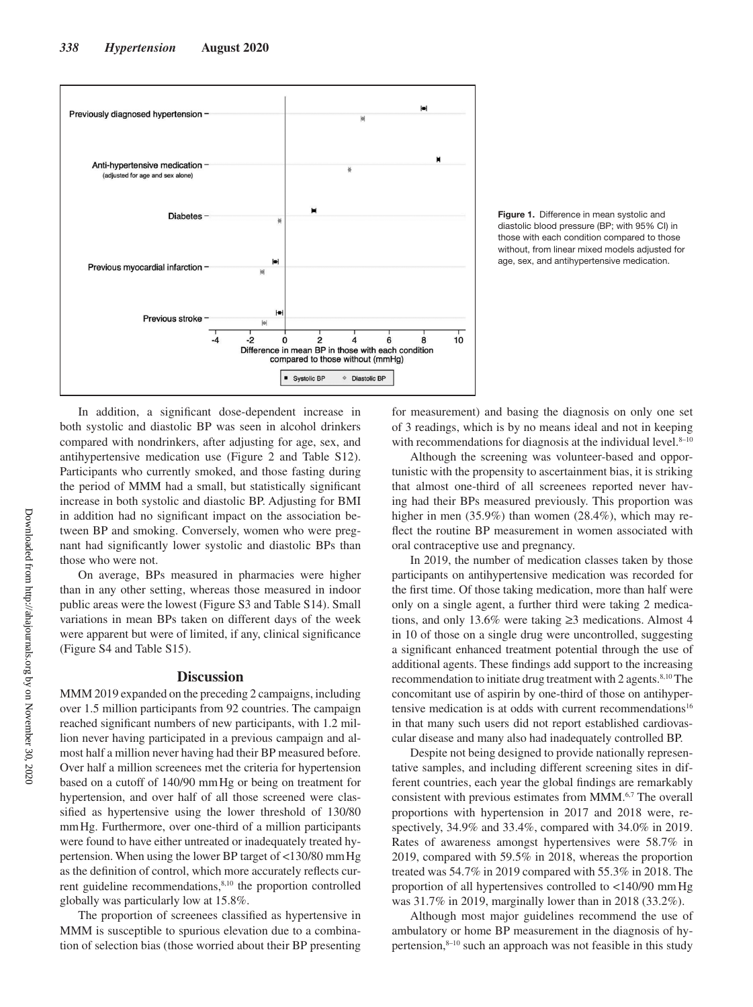

**Figure 1.** Difference in mean systolic and diastolic blood pressure (BP; with 95% CI) in those with each condition compared to those without, from linear mixed models adjusted for age, sex, and antihypertensive medication.

In addition, a significant dose-dependent increase in both systolic and diastolic BP was seen in alcohol drinkers compared with nondrinkers, after adjusting for age, sex, and antihypertensive medication use (Figure 2 and Table S12). Participants who currently smoked, and those fasting during the period of MMM had a small, but statistically significant increase in both systolic and diastolic BP. Adjusting for BMI in addition had no significant impact on the association between BP and smoking. Conversely, women who were pregnant had significantly lower systolic and diastolic BPs than those who were not.

On average, BPs measured in pharmacies were higher than in any other setting, whereas those measured in indoor public areas were the lowest (Figure S3 and Table S14). Small variations in mean BPs taken on different days of the week were apparent but were of limited, if any, clinical significance (Figure S4 and Table S15).

## **Discussion**

MMM 2019 expanded on the preceding 2 campaigns, including over 1.5 million participants from 92 countries. The campaign reached significant numbers of new participants, with 1.2 million never having participated in a previous campaign and almost half a million never having had their BP measured before. Over half a million screenees met the criteria for hypertension based on a cutoff of 140/90 mmHg or being on treatment for hypertension, and over half of all those screened were classified as hypertensive using the lower threshold of 130/80 mmHg. Furthermore, over one-third of a million participants were found to have either untreated or inadequately treated hypertension. When using the lower BP target of <130/80 mmHg as the definition of control, which more accurately reflects current guideline recommendations,<sup>8,10</sup> the proportion controlled globally was particularly low at 15.8%.

The proportion of screenees classified as hypertensive in MMM is susceptible to spurious elevation due to a combination of selection bias (those worried about their BP presenting for measurement) and basing the diagnosis on only one set of 3 readings, which is by no means ideal and not in keeping with recommendations for diagnosis at the individual level. $8-10$ 

Although the screening was volunteer-based and opportunistic with the propensity to ascertainment bias, it is striking that almost one-third of all screenees reported never having had their BPs measured previously. This proportion was higher in men (35.9%) than women (28.4%), which may reflect the routine BP measurement in women associated with oral contraceptive use and pregnancy.

In 2019, the number of medication classes taken by those participants on antihypertensive medication was recorded for the first time. Of those taking medication, more than half were only on a single agent, a further third were taking 2 medications, and only 13.6% were taking ≥3 medications. Almost 4 in 10 of those on a single drug were uncontrolled, suggesting a significant enhanced treatment potential through the use of additional agents. These findings add support to the increasing recommendation to initiate drug treatment with 2 agents.<sup>8,10</sup> The concomitant use of aspirin by one-third of those on antihypertensive medication is at odds with current recommendations<sup>16</sup> in that many such users did not report established cardiovascular disease and many also had inadequately controlled BP.

Despite not being designed to provide nationally representative samples, and including different screening sites in different countries, each year the global findings are remarkably consistent with previous estimates from MMM.6,7 The overall proportions with hypertension in 2017 and 2018 were, respectively, 34.9% and 33.4%, compared with 34.0% in 2019. Rates of awareness amongst hypertensives were 58.7% in 2019, compared with 59.5% in 2018, whereas the proportion treated was 54.7% in 2019 compared with 55.3% in 2018. The proportion of all hypertensives controlled to <140/90 mmHg was 31.7% in 2019, marginally lower than in 2018 (33.2%).

Although most major guidelines recommend the use of ambulatory or home BP measurement in the diagnosis of hypertension, $8-10$  such an approach was not feasible in this study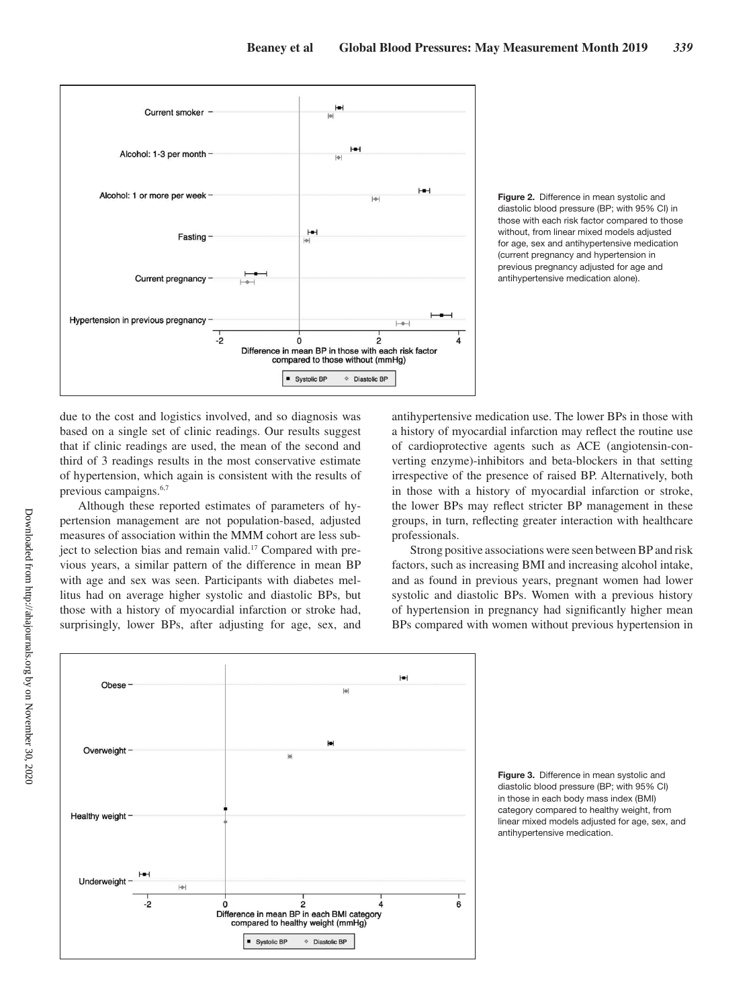

**Figure 2.** Difference in mean systolic and diastolic blood pressure (BP; with 95% CI) in those with each risk factor compared to those without, from linear mixed models adjusted for age, sex and antihypertensive medication (current pregnancy and hypertension in previous pregnancy adjusted for age and antihypertensive medication alone).

due to the cost and logistics involved, and so diagnosis was based on a single set of clinic readings. Our results suggest that if clinic readings are used, the mean of the second and third of 3 readings results in the most conservative estimate of hypertension, which again is consistent with the results of previous campaigns.6,7

Although these reported estimates of parameters of hypertension management are not population-based, adjusted measures of association within the MMM cohort are less subject to selection bias and remain valid.17 Compared with previous years, a similar pattern of the difference in mean BP with age and sex was seen. Participants with diabetes mellitus had on average higher systolic and diastolic BPs, but those with a history of myocardial infarction or stroke had, surprisingly, lower BPs, after adjusting for age, sex, and antihypertensive medication use. The lower BPs in those with a history of myocardial infarction may reflect the routine use of cardioprotective agents such as ACE (angiotensin-converting enzyme)-inhibitors and beta-blockers in that setting irrespective of the presence of raised BP. Alternatively, both in those with a history of myocardial infarction or stroke, the lower BPs may reflect stricter BP management in these groups, in turn, reflecting greater interaction with healthcare professionals.

Strong positive associations were seen between BP and risk factors, such as increasing BMI and increasing alcohol intake, and as found in previous years, pregnant women had lower systolic and diastolic BPs. Women with a previous history of hypertension in pregnancy had significantly higher mean BPs compared with women without previous hypertension in



**Figure 3.** Difference in mean systolic and diastolic blood pressure (BP; with 95% CI) in those in each body mass index (BMI) category compared to healthy weight, from linear mixed models adjusted for age, sex, and antihypertensive medication.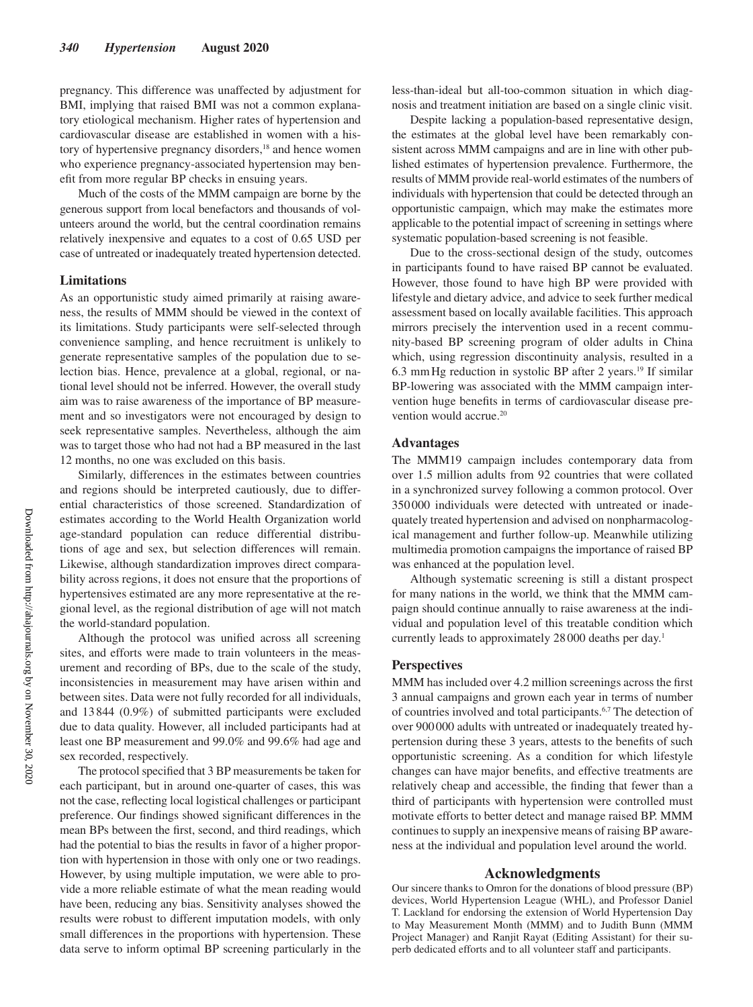pregnancy. This difference was unaffected by adjustment for BMI, implying that raised BMI was not a common explanatory etiological mechanism. Higher rates of hypertension and cardiovascular disease are established in women with a history of hypertensive pregnancy disorders,<sup>18</sup> and hence women who experience pregnancy-associated hypertension may benefit from more regular BP checks in ensuing years.

Much of the costs of the MMM campaign are borne by the generous support from local benefactors and thousands of volunteers around the world, but the central coordination remains relatively inexpensive and equates to a cost of 0.65 USD per case of untreated or inadequately treated hypertension detected.

#### **Limitations**

As an opportunistic study aimed primarily at raising awareness, the results of MMM should be viewed in the context of its limitations. Study participants were self-selected through convenience sampling, and hence recruitment is unlikely to generate representative samples of the population due to selection bias. Hence, prevalence at a global, regional, or national level should not be inferred. However, the overall study aim was to raise awareness of the importance of BP measurement and so investigators were not encouraged by design to seek representative samples. Nevertheless, although the aim was to target those who had not had a BP measured in the last 12 months, no one was excluded on this basis.

Similarly, differences in the estimates between countries and regions should be interpreted cautiously, due to differential characteristics of those screened. Standardization of estimates according to the World Health Organization world age-standard population can reduce differential distributions of age and sex, but selection differences will remain. Likewise, although standardization improves direct comparability across regions, it does not ensure that the proportions of hypertensives estimated are any more representative at the regional level, as the regional distribution of age will not match the world-standard population.

Although the protocol was unified across all screening sites, and efforts were made to train volunteers in the measurement and recording of BPs, due to the scale of the study, inconsistencies in measurement may have arisen within and between sites. Data were not fully recorded for all individuals, and 13 844 (0.9%) of submitted participants were excluded due to data quality. However, all included participants had at least one BP measurement and 99.0% and 99.6% had age and sex recorded, respectively.

The protocol specified that 3 BP measurements be taken for each participant, but in around one-quarter of cases, this was not the case, reflecting local logistical challenges or participant preference. Our findings showed significant differences in the mean BPs between the first, second, and third readings, which had the potential to bias the results in favor of a higher proportion with hypertension in those with only one or two readings. However, by using multiple imputation, we were able to provide a more reliable estimate of what the mean reading would have been, reducing any bias. Sensitivity analyses showed the results were robust to different imputation models, with only small differences in the proportions with hypertension. These data serve to inform optimal BP screening particularly in the

less-than-ideal but all-too-common situation in which diagnosis and treatment initiation are based on a single clinic visit.

Despite lacking a population-based representative design, the estimates at the global level have been remarkably consistent across MMM campaigns and are in line with other published estimates of hypertension prevalence. Furthermore, the results of MMM provide real-world estimates of the numbers of individuals with hypertension that could be detected through an opportunistic campaign, which may make the estimates more applicable to the potential impact of screening in settings where systematic population-based screening is not feasible.

Due to the cross-sectional design of the study, outcomes in participants found to have raised BP cannot be evaluated. However, those found to have high BP were provided with lifestyle and dietary advice, and advice to seek further medical assessment based on locally available facilities. This approach mirrors precisely the intervention used in a recent community-based BP screening program of older adults in China which, using regression discontinuity analysis, resulted in a 6.3 mmHg reduction in systolic BP after 2 years.19 If similar BP-lowering was associated with the MMM campaign intervention huge benefits in terms of cardiovascular disease prevention would accrue.<sup>20</sup>

### **Advantages**

The MMM19 campaign includes contemporary data from over 1.5 million adults from 92 countries that were collated in a synchronized survey following a common protocol. Over 350000 individuals were detected with untreated or inadequately treated hypertension and advised on nonpharmacological management and further follow-up. Meanwhile utilizing multimedia promotion campaigns the importance of raised BP was enhanced at the population level.

Although systematic screening is still a distant prospect for many nations in the world, we think that the MMM campaign should continue annually to raise awareness at the individual and population level of this treatable condition which currently leads to approximately 28 000 deaths per day.<sup>1</sup>

## **Perspectives**

MMM has included over 4.2 million screenings across the first 3 annual campaigns and grown each year in terms of number of countries involved and total participants.6,7 The detection of over 900000 adults with untreated or inadequately treated hypertension during these 3 years, attests to the benefits of such opportunistic screening. As a condition for which lifestyle changes can have major benefits, and effective treatments are relatively cheap and accessible, the finding that fewer than a third of participants with hypertension were controlled must motivate efforts to better detect and manage raised BP. MMM continues to supply an inexpensive means of raising BP awareness at the individual and population level around the world.

#### **Acknowledgments**

Our sincere thanks to Omron for the donations of blood pressure (BP) devices, World Hypertension League (WHL), and Professor Daniel T. Lackland for endorsing the extension of World Hypertension Day to May Measurement Month (MMM) and to Judith Bunn (MMM Project Manager) and Ranjit Rayat (Editing Assistant) for their superb dedicated efforts and to all volunteer staff and participants.